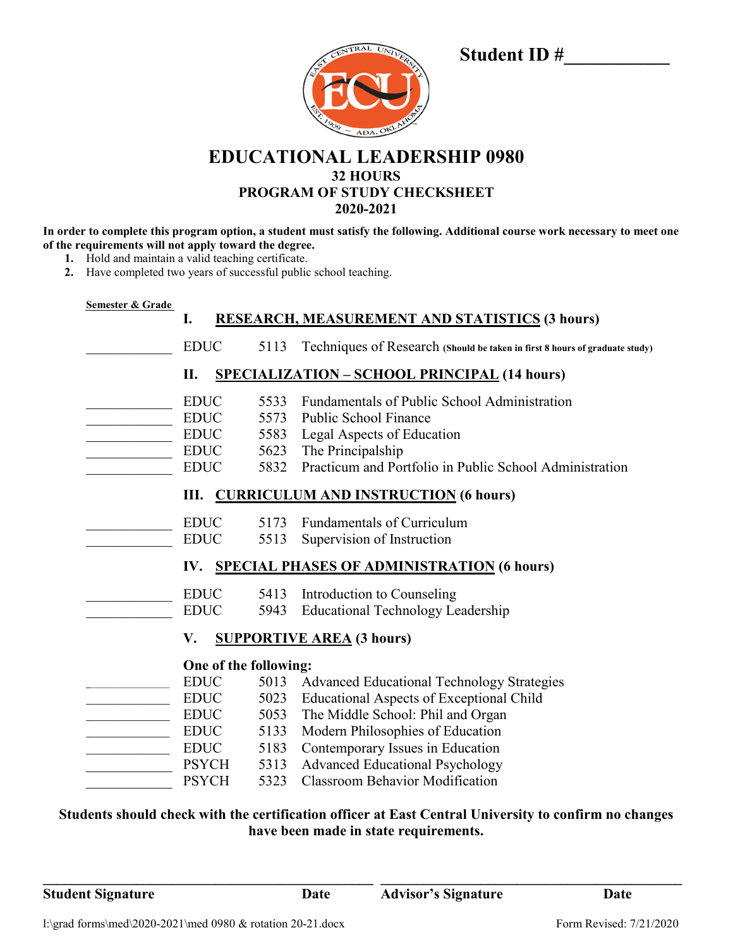| CENTRAL UNIVERSITY<br>14888<br>BR. 1000 - ADA, OK ANOW |
|--------------------------------------------------------|
|                                                        |

# **Student ID #\_\_\_\_\_\_\_\_\_\_\_\_\_**

**EDUCATIONAL LEADERSHIP 0980 32 HOURS PROGRAM OF STUDY CHECKSHEET 2020-2021**

**In order to complete this program option, a student must satisfy the following. Additional course work necessary to meet one of the requirements will not apply toward the degree.**

- **1.** Hold and maintain a valid teaching certificate.
- **2.** Have completed two years of successful public school teaching.

| Semester & Grade                                          |              |      |                                                                             |  |  |
|-----------------------------------------------------------|--------------|------|-----------------------------------------------------------------------------|--|--|
|                                                           | I.           |      | RESEARCH, MEASUREMENT AND STATISTICS (3 hours)                              |  |  |
|                                                           | <b>EDUC</b>  | 5113 | Techniques of Research (Should be taken in first 8 hours of graduate study) |  |  |
| <b>SPECIALIZATION - SCHOOL PRINCIPAL (14 hours)</b><br>П. |              |      |                                                                             |  |  |
|                                                           | <b>EDUC</b>  | 5533 | Fundamentals of Public School Administration                                |  |  |
|                                                           | <b>EDUC</b>  | 5573 | Public School Finance                                                       |  |  |
|                                                           | <b>EDUC</b>  | 5583 | Legal Aspects of Education                                                  |  |  |
|                                                           | <b>EDUC</b>  | 5623 | The Principalship                                                           |  |  |
|                                                           | <b>EDUC</b>  | 5832 | Practicum and Portfolio in Public School Administration                     |  |  |
| <b>CURRICULUM AND INSTRUCTION (6 hours)</b><br>Ш.         |              |      |                                                                             |  |  |
|                                                           | <b>EDUC</b>  | 5173 | Fundamentals of Curriculum                                                  |  |  |
|                                                           | <b>EDUC</b>  | 5513 | Supervision of Instruction                                                  |  |  |
| IV. SPECIAL PHASES OF ADMINISTRATION (6 hours)            |              |      |                                                                             |  |  |
|                                                           | <b>EDUC</b>  | 5413 | Introduction to Counseling                                                  |  |  |
|                                                           | <b>EDUC</b>  | 5943 | <b>Educational Technology Leadership</b>                                    |  |  |
| <b>SUPPORTIVE AREA (3 hours)</b><br>V.                    |              |      |                                                                             |  |  |
| One of the following:                                     |              |      |                                                                             |  |  |
|                                                           | <b>EDUC</b>  | 5013 | <b>Advanced Educational Technology Strategies</b>                           |  |  |
|                                                           | <b>EDUC</b>  | 5023 | <b>Educational Aspects of Exceptional Child</b>                             |  |  |
|                                                           | <b>EDUC</b>  | 5053 | The Middle School: Phil and Organ                                           |  |  |
|                                                           | <b>EDUC</b>  | 5133 | Modern Philosophies of Education                                            |  |  |
|                                                           | <b>EDUC</b>  | 5183 | Contemporary Issues in Education                                            |  |  |
|                                                           | <b>PSYCH</b> | 5313 | <b>Advanced Educational Psychology</b>                                      |  |  |
|                                                           | <b>PSYCH</b> | 5323 | <b>Classroom Behavior Modification</b>                                      |  |  |

## **Students should check with the certification officer at East Central University to confirm no changes have been made in state requirements.**

**\_\_\_\_\_\_\_\_\_\_\_\_\_\_\_\_\_\_\_\_\_\_\_\_\_\_\_\_\_\_\_\_\_\_\_\_\_\_\_\_\_\_\_\_\_\_ \_\_\_\_\_\_\_\_\_\_\_\_\_\_\_\_\_\_\_\_\_\_\_\_\_\_\_\_\_\_\_\_\_\_\_\_\_\_\_\_\_\_**